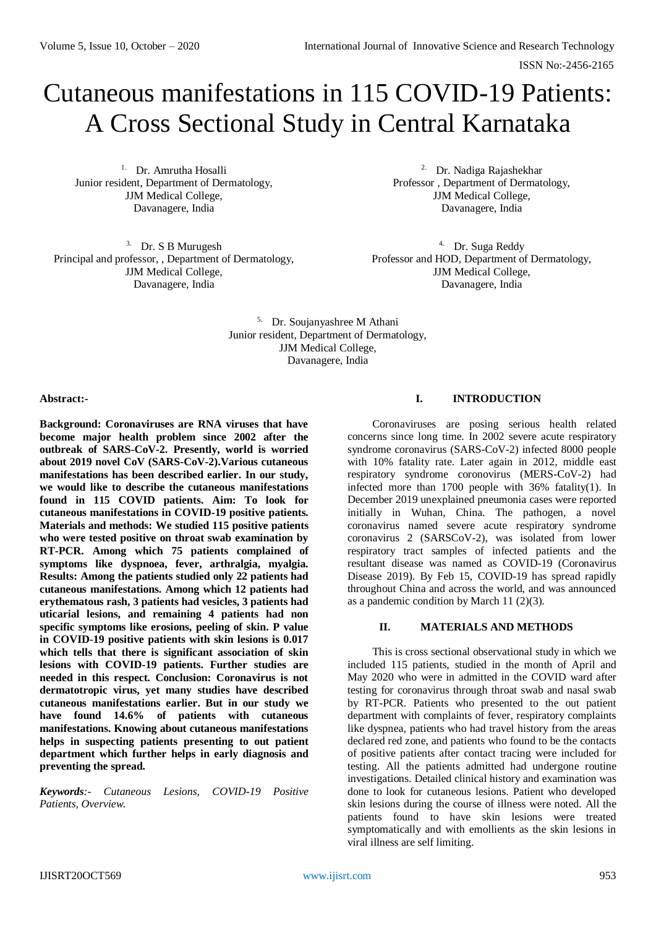ISSN No:-2456-2165

# Cutaneous manifestations in 115 COVID-19 Patients: A Cross Sectional Study in Central Karnataka

1. Dr. Amrutha Hosalli Junior resident, Department of Dermatology, JJM Medical College, Davanagere, India

3. Dr. S B Murugesh Principal and professor, , Department of Dermatology, JJM Medical College, Davanagere, India

2. Dr. Nadiga Rajashekhar Professor , Department of Dermatology, JJM Medical College, Davanagere, India

4. Dr. Suga Reddy Professor and HOD, Department of Dermatology, JJM Medical College, Davanagere, India

5. Dr. Soujanyashree M Athani Junior resident, Department of Dermatology, JJM Medical College, Davanagere, India

# **Abstract:-**

**Background: Coronaviruses are RNA viruses that have become major health problem since 2002 after the outbreak of SARS-CoV-2. Presently, world is worried about 2019 novel CoV (SARS-CoV-2).Various cutaneous manifestations has been described earlier. In our study, we would like to describe the cutaneous manifestations found in 115 COVID patients. Aim: To look for cutaneous manifestations in COVID-19 positive patients. Materials and methods: We studied 115 positive patients who were tested positive on throat swab examination by RT-PCR. Among which 75 patients complained of symptoms like dyspnoea, fever, arthralgia, myalgia. Results: Among the patients studied only 22 patients had cutaneous manifestations. Among which 12 patients had erythematous rash, 3 patients had vesicles, 3 patients had uticarial lesions, and remaining 4 patients had non specific symptoms like erosions, peeling of skin. P value in COVID-19 positive patients with skin lesions is 0.017 which tells that there is significant association of skin lesions with COVID-19 patients. Further studies are needed in this respect. Conclusion: Coronavirus is not dermatotropic virus, yet many studies have described cutaneous manifestations earlier. But in our study we have found 14.6% of patients with cutaneous manifestations. Knowing about cutaneous manifestations helps in suspecting patients presenting to out patient department which further helps in early diagnosis and preventing the spread.** 

*Keywords:- Cutaneous Lesions, COVID-19 Positive Patients, Overview.* 

# **I. INTRODUCTION**

Coronaviruses are posing serious health related concerns since long time. In 2002 severe acute respiratory syndrome coronavirus (SARS-CoV-2) infected 8000 people with 10% fatality rate. Later again in 2012, middle east respiratory syndrome coronovirus (MERS-CoV-2) had infected more than 1700 people with 36% fatality(1). In December 2019 unexplained pneumonia cases were reported initially in Wuhan, China. The pathogen, a novel coronavirus named severe acute respiratory syndrome coronavirus 2 (SARSCoV-2), was isolated from lower respiratory tract samples of infected patients and the resultant disease was named as COVID-19 (Coronavirus Disease 2019). By Feb 15, COVID-19 has spread rapidly throughout China and across the world, and was announced as a pandemic condition by March 11  $(2)(3)$ .

# **II. MATERIALS AND METHODS**

This is cross sectional observational study in which we included 115 patients, studied in the month of April and May 2020 who were in admitted in the COVID ward after testing for coronavirus through throat swab and nasal swab by RT-PCR. Patients who presented to the out patient department with complaints of fever, respiratory complaints like dyspnea, patients who had travel history from the areas declared red zone, and patients who found to be the contacts of positive patients after contact tracing were included for testing. All the patients admitted had undergone routine investigations. Detailed clinical history and examination was done to look for cutaneous lesions. Patient who developed skin lesions during the course of illness were noted. All the patients found to have skin lesions were treated symptomatically and with emollients as the skin lesions in viral illness are self limiting.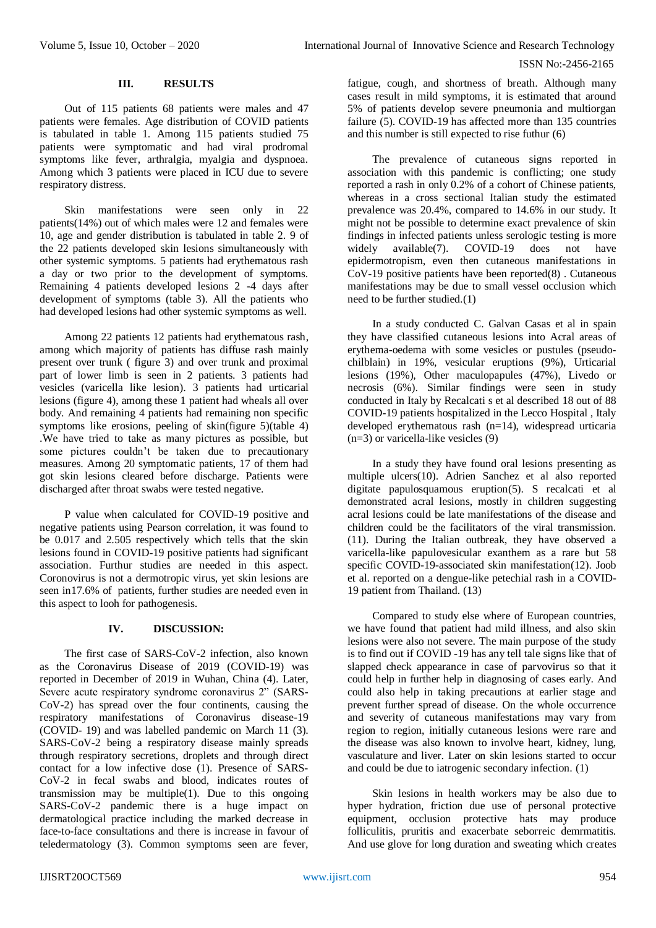#### **III. RESULTS**

Out of 115 patients 68 patients were males and 47 patients were females. Age distribution of COVID patients is tabulated in table 1. Among 115 patients studied 75 patients were symptomatic and had viral prodromal symptoms like fever, arthralgia, myalgia and dyspnoea. Among which 3 patients were placed in ICU due to severe respiratory distress.

Skin manifestations were seen only in 22 patients(14%) out of which males were 12 and females were 10, age and gender distribution is tabulated in table 2. 9 of the 22 patients developed skin lesions simultaneously with other systemic symptoms. 5 patients had erythematous rash a day or two prior to the development of symptoms. Remaining 4 patients developed lesions 2 -4 days after development of symptoms (table 3). All the patients who had developed lesions had other systemic symptoms as well.

Among 22 patients 12 patients had erythematous rash, among which majority of patients has diffuse rash mainly present over trunk ( figure 3) and over trunk and proximal part of lower limb is seen in 2 patients. 3 patients had vesicles (varicella like lesion). 3 patients had urticarial lesions (figure 4), among these 1 patient had wheals all over body. And remaining 4 patients had remaining non specific symptoms like erosions, peeling of skin(figure 5)(table 4) .We have tried to take as many pictures as possible, but some pictures couldn't be taken due to precautionary measures. Among 20 symptomatic patients, 17 of them had got skin lesions cleared before discharge. Patients were discharged after throat swabs were tested negative.

P value when calculated for COVID-19 positive and negative patients using Pearson correlation, it was found to be 0.017 and 2.505 respectively which tells that the skin lesions found in COVID-19 positive patients had significant association. Furthur studies are needed in this aspect. Coronovirus is not a dermotropic virus, yet skin lesions are seen in17.6% of patients, further studies are needed even in this aspect to looh for pathogenesis.

#### **IV. DISCUSSION:**

The first case of SARS-CoV-2 infection, also known as the Coronavirus Disease of 2019 (COVID-19) was reported in December of 2019 in Wuhan, China (4). Later, Severe acute respiratory syndrome coronavirus 2" (SARS-CoV-2) has spread over the four continents, causing the respiratory manifestations of Coronavirus disease-19 (COVID- 19) and was labelled pandemic on March 11 (3). SARS-CoV-2 being a respiratory disease mainly spreads through respiratory secretions, droplets and through direct contact for a low infective dose (1). Presence of SARS-CoV-2 in fecal swabs and blood, indicates routes of transmission may be multiple(1). Due to this ongoing SARS-CoV-2 pandemic there is a huge impact on dermatological practice including the marked decrease in face-to-face consultations and there is increase in favour of teledermatology (3). Common symptoms seen are fever, fatigue, cough, and shortness of breath. Although many cases result in mild symptoms, it is estimated that around 5% of patients develop severe pneumonia and multiorgan failure (5). COVID-19 has affected more than 135 countries and this number is still expected to rise futhur (6)

The prevalence of cutaneous signs reported in association with this pandemic is conflicting; one study reported a rash in only 0.2% of a cohort of Chinese patients, whereas in a cross sectional Italian study the estimated prevalence was 20.4%, compared to 14.6% in our study. It might not be possible to determine exact prevalence of skin findings in infected patients unless serologic testing is more<br>widely available(7). COVID-19 does not have widely available(7). COVID-19 does not have epidermotropism, even then cutaneous manifestations in CoV-19 positive patients have been reported(8) . Cutaneous manifestations may be due to small vessel occlusion which need to be further studied.(1)

In a study conducted C. Galvan Casas et al in spain they have classified cutaneous lesions into Acral areas of erythema-oedema with some vesicles or pustules (pseudochilblain) in 19%, vesicular eruptions (9%), Urticarial lesions (19%), Other maculopapules (47%), Livedo or necrosis (6%). Similar findings were seen in study conducted in Italy by Recalcati s et al described 18 out of 88 COVID-19 patients hospitalized in the Lecco Hospital , Italy developed erythematous rash (n=14), widespread urticaria (n=3) or varicella-like vesicles (9)

In a study they have found oral lesions presenting as multiple ulcers(10). Adrien Sanchez et al also reported digitate papulosquamous eruption(5). S recalcati et al demonstrated acral lesions, mostly in children suggesting acral lesions could be late manifestations of the disease and children could be the facilitators of the viral transmission. (11). During the Italian outbreak, they have observed a varicella-like papulovesicular exanthem as a rare but 58 specific COVID-19-associated skin manifestation(12). Joob et al. reported on a dengue-like petechial rash in a COVID-19 patient from Thailand. (13)

Compared to study else where of European countries, we have found that patient had mild illness, and also skin lesions were also not severe. The main purpose of the study is to find out if COVID -19 has any tell tale signs like that of slapped check appearance in case of parvovirus so that it could help in further help in diagnosing of cases early. And could also help in taking precautions at earlier stage and prevent further spread of disease. On the whole occurrence and severity of cutaneous manifestations may vary from region to region, initially cutaneous lesions were rare and the disease was also known to involve heart, kidney, lung, vasculature and liver. Later on skin lesions started to occur and could be due to iatrogenic secondary infection. (1)

Skin lesions in health workers may be also due to hyper hydration, friction due use of personal protective equipment, occlusion protective hats may produce folliculitis, pruritis and exacerbate seborreic demrmatitis. And use glove for long duration and sweating which creates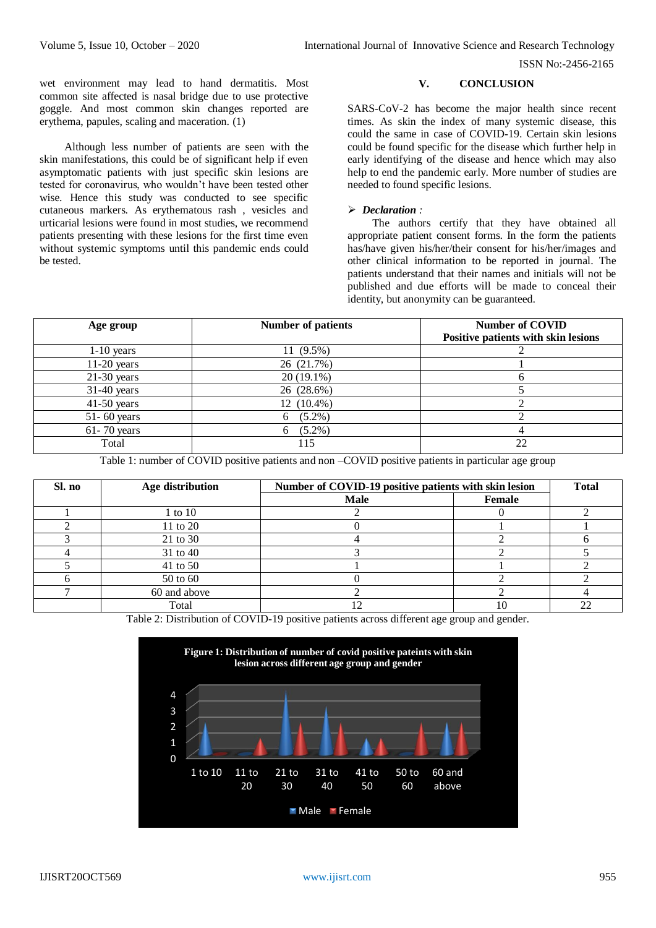ISSN No:-2456-2165

wet environment may lead to hand dermatitis. Most common site affected is nasal bridge due to use protective goggle. And most common skin changes reported are erythema, papules, scaling and maceration. (1)

Although less number of patients are seen with the skin manifestations, this could be of significant help if even asymptomatic patients with just specific skin lesions are tested for coronavirus, who wouldn't have been tested other wise. Hence this study was conducted to see specific cutaneous markers. As erythematous rash , vesicles and urticarial lesions were found in most studies, we recommend patients presenting with these lesions for the first time even without systemic symptoms until this pandemic ends could be tested.

# **V. CONCLUSION**

SARS-CoV-2 has become the major health since recent times. As skin the index of many systemic disease, this could the same in case of COVID-19. Certain skin lesions could be found specific for the disease which further help in early identifying of the disease and hence which may also help to end the pandemic early. More number of studies are needed to found specific lesions.

#### *Declaration :*

The authors certify that they have obtained all appropriate patient consent forms. In the form the patients has/have given his/her/their consent for his/her/images and other clinical information to be reported in journal. The patients understand that their names and initials will not be published and due efforts will be made to conceal their identity, but anonymity can be guaranteed.

| Age group       | <b>Number of patients</b> | <b>Number of COVID</b><br>Positive patients with skin lesions |
|-----------------|---------------------------|---------------------------------------------------------------|
| $1-10$ years    | $11(9.5\%)$               |                                                               |
| $11-20$ years   | 26 (21.7%)                |                                                               |
| $21-30$ years   | $20(19.1\%)$              |                                                               |
| $31-40$ years   | 26 (28.6%)                |                                                               |
| $41-50$ years   | 12 (10.4%)                |                                                               |
| $51 - 60$ years | $(5.2\%)$<br>6.           |                                                               |
| $61 - 70$ years | $(5.2\%)$<br>6            |                                                               |
| Total           | 115                       | 22                                                            |

Table 1: number of COVID positive patients and non –COVID positive patients in particular age group

| Sl. no | Age distribution | Number of COVID-19 positive patients with skin lesion |        | <b>Total</b> |
|--------|------------------|-------------------------------------------------------|--------|--------------|
|        |                  | <b>Male</b>                                           | Female |              |
|        | 1 to 10          |                                                       |        |              |
|        | 11 to 20         |                                                       |        |              |
|        | 21 to 30         |                                                       |        |              |
|        | 31 to 40         |                                                       |        |              |
|        | 41 to 50         |                                                       |        |              |
|        | 50 to 60         |                                                       |        |              |
|        | 60 and above     |                                                       |        |              |
|        | Total            |                                                       | 10     | 22           |

Table 2: Distribution of COVID-19 positive patients across different age group and gender.

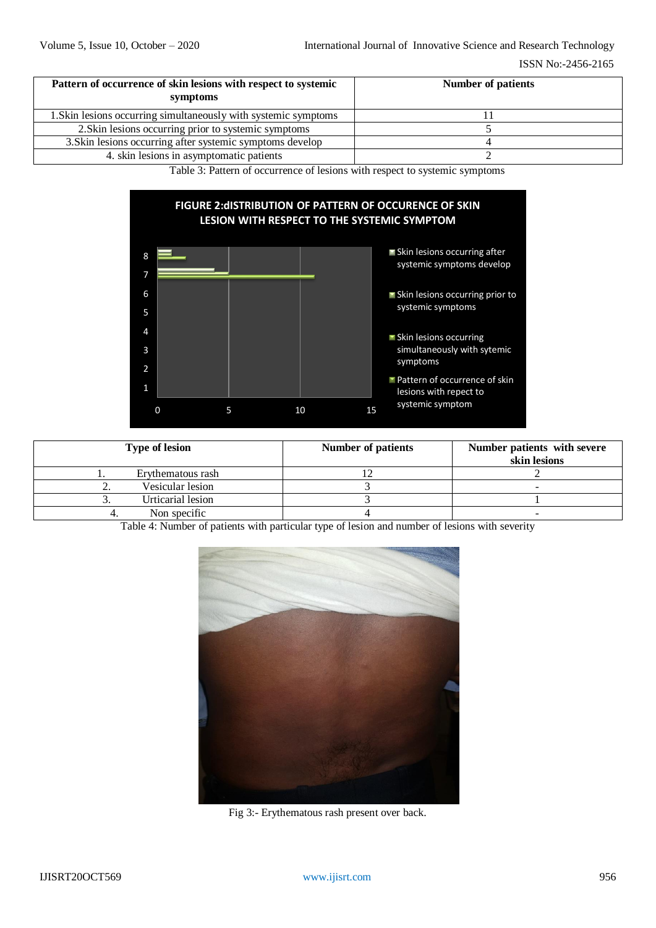| Pattern of occurrence of skin lesions with respect to systemic<br>symptoms | <b>Number of patients</b> |  |
|----------------------------------------------------------------------------|---------------------------|--|
| 1. Skin lesions occurring simultaneously with systemic symptoms            |                           |  |
| 2. Skin lesions occurring prior to systemic symptoms                       |                           |  |
| 3. Skin lesions occurring after systemic symptoms develop                  |                           |  |
| 4. skin lesions in asymptomatic patients                                   |                           |  |

Table 3: Pattern of occurrence of lesions with respect to systemic symptoms



| <b>Type of lesion</b> | <b>Number of patients</b> | Number patients with severe<br>skin lesions |
|-----------------------|---------------------------|---------------------------------------------|
| Ervthematous rash     |                           |                                             |
| Vesicular lesion      |                           |                                             |
| Urticarial lesion     |                           |                                             |
| Non specific          |                           |                                             |

Table 4: Number of patients with particular type of lesion and number of lesions with severity



Fig 3:- Erythematous rash present over back.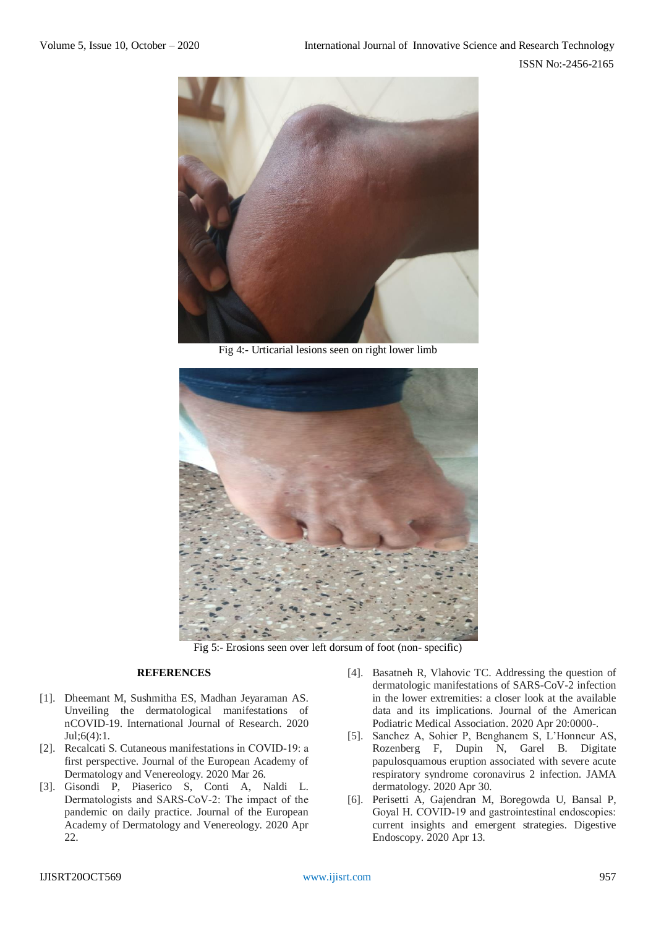

Fig 4:- Urticarial lesions seen on right lower limb



Fig 5:- Erosions seen over left dorsum of foot (non- specific)

# **REFERENCES**

- [1]. Dheemant M, Sushmitha ES, Madhan Jeyaraman AS. Unveiling the dermatological manifestations of nCOVID-19. International Journal of Research. 2020 Jul;6(4):1.
- [2]. Recalcati S. Cutaneous manifestations in COVID-19: a first perspective. Journal of the European Academy of Dermatology and Venereology. 2020 Mar 26.
- [3]. Gisondi P, Piaserico S, Conti A, Naldi L. Dermatologists and SARS‐CoV‐2: The impact of the pandemic on daily practice. Journal of the European Academy of Dermatology and Venereology. 2020 Apr 22.
- [4]. Basatneh R, Vlahovic TC. Addressing the question of dermatologic manifestations of SARS-CoV-2 infection in the lower extremities: a closer look at the available data and its implications. Journal of the American Podiatric Medical Association. 2020 Apr 20:0000-.
- [5]. Sanchez A, Sohier P, Benghanem S, L'Honneur AS, Rozenberg F, Dupin N, Garel B. Digitate papulosquamous eruption associated with severe acute respiratory syndrome coronavirus 2 infection. JAMA dermatology. 2020 Apr 30.
- [6]. Perisetti A, Gajendran M, Boregowda U, Bansal P, Goyal H. COVID‐19 and gastrointestinal endoscopies: current insights and emergent strategies. Digestive Endoscopy. 2020 Apr 13.